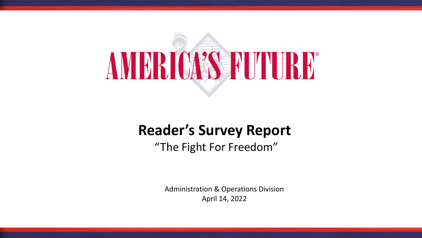

### **Reader's Survey Report**

"The Fight For Freedom"

Administration & Operations Division April 14, 2022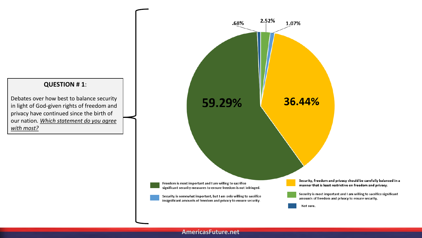### **QUESTION # 1**:

Debates over how best to balance security in light of God-given rights of freedom and privacy have continued since the birth of our nation*. Which statement do you agree with most?*



#### **AmericasFuture.net**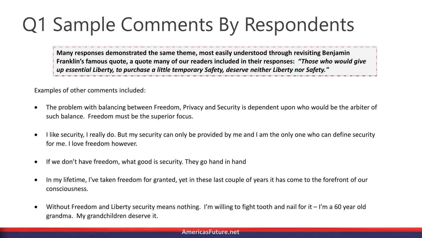# Q1 Sample Comments By Respondents

**Many responses demonstrated the same theme, most easily understood through revisiting Benjamin Franklin's famous quote, a quote many of our readers included in their responses:** *"Those who would give up essential Liberty, to purchase a little temporary Safety, deserve neither Liberty nor Safety."*

Examples of other comments included:

- The problem with balancing between Freedom, Privacy and Security is dependent upon who would be the arbiter of such balance. Freedom must be the superior focus.
- I like security, I really do. But my security can only be provided by me and I am the only one who can define security for me. I love freedom however.
- If we don't have freedom, what good is security. They go hand in hand
- In my lifetime, I've taken freedom for granted, yet in these last couple of years it has come to the forefront of our consciousness.
- Without Freedom and Liberty security means nothing. I'm willing to fight tooth and nail for it I'm a 60 year old grandma. My grandchildren deserve it.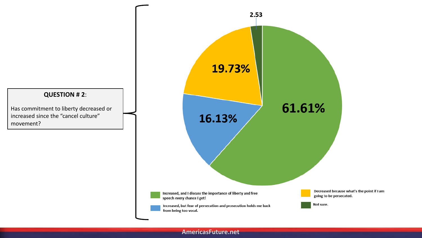

**AmericasFuture.net**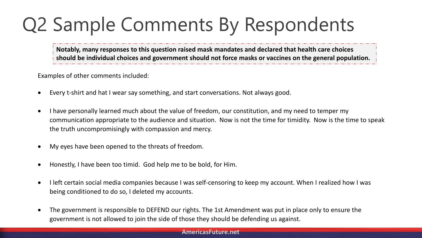# Q2 Sample Comments By Respondents

**Notably, many responses to this question raised mask mandates and declared that health care choices should be individual choices and government should not force masks or vaccines on the general population.**

Examples of other comments included:

- Every t-shirt and hat I wear say something, and start conversations. Not always good.
- I have personally learned much about the value of freedom, our constitution, and my need to temper my communication appropriate to the audience and situation. Now is not the time for timidity. Now is the time to speak the truth uncompromisingly with compassion and mercy.
- My eyes have been opened to the threats of freedom.
- Honestly, I have been too timid. God help me to be bold, for Him.
- I left certain social media companies because I was self-censoring to keep my account. When I realized how I was being conditioned to do so, I deleted my accounts.
- The government is responsible to DEFEND our rights. The 1st Amendment was put in place only to ensure the government is not allowed to join the side of those they should be defending us against.

#### **AmericasFuture.net**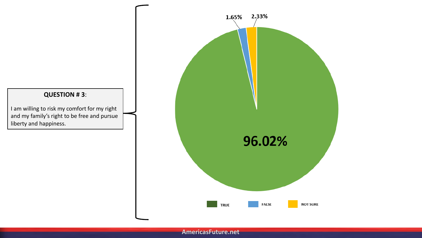### **QUESTION # 3**:

I am willing to risk my comfort for my right and my family's right to be free and pursue liberty and happiness.

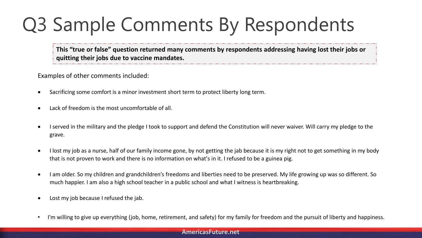# Q3 Sample Comments By Respondents

**This "true or false" question returned many comments by respondents addressing having lost their jobs or quitting their jobs due to vaccine mandates.** 

Examples of other comments included:

- Sacrificing some comfort is a minor investment short term to protect liberty long term.
- Lack of freedom is the most uncomfortable of all.
- I served in the military and the pledge I took to support and defend the Constitution will never waiver. Will carry my pledge to the grave.
- I lost my job as a nurse, half of our family income gone, by not getting the jab because it is my right not to get something in my body that is not proven to work and there is no information on what's in it. I refused to be a guinea pig.
- I am older. So my children and grandchildren's freedoms and liberties need to be preserved. My life growing up was so different. So much happier. I am also a high school teacher in a public school and what I witness is heartbreaking.
- Lost my job because I refused the jab.
- I'm willing to give up everything (job, home, retirement, and safety) for my family for freedom and the pursuit of liberty and happiness.